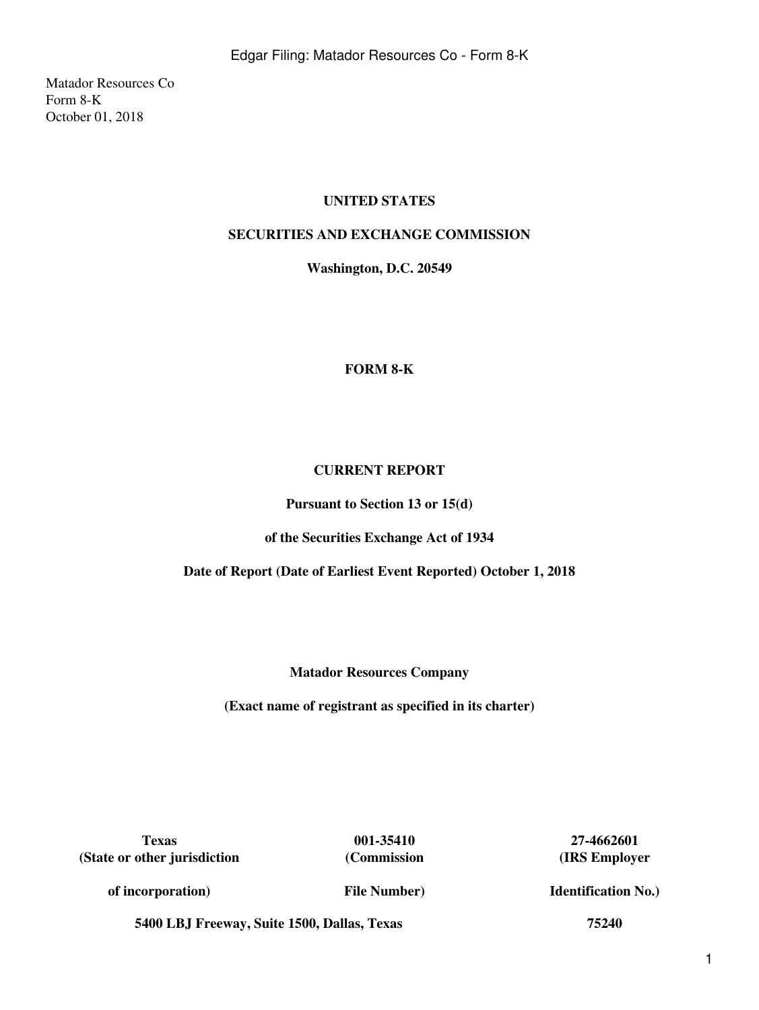Matador Resources Co Form 8-K October 01, 2018

# **UNITED STATES**

## **SECURITIES AND EXCHANGE COMMISSION**

**Washington, D.C. 20549**

## **FORM 8-K**

## **CURRENT REPORT**

**Pursuant to Section 13 or 15(d)**

**of the Securities Exchange Act of 1934**

**Date of Report (Date of Earliest Event Reported) October 1, 2018**

**Matador Resources Company**

**(Exact name of registrant as specified in its charter)**

**Texas 001-35410 27-4662601 (State or other jurisdiction**

**(Commission**

**(IRS Employer**

**of incorporation)**

**File Number)**

**Identification No.)**

**5400 LBJ Freeway, Suite 1500, Dallas, Texas 75240**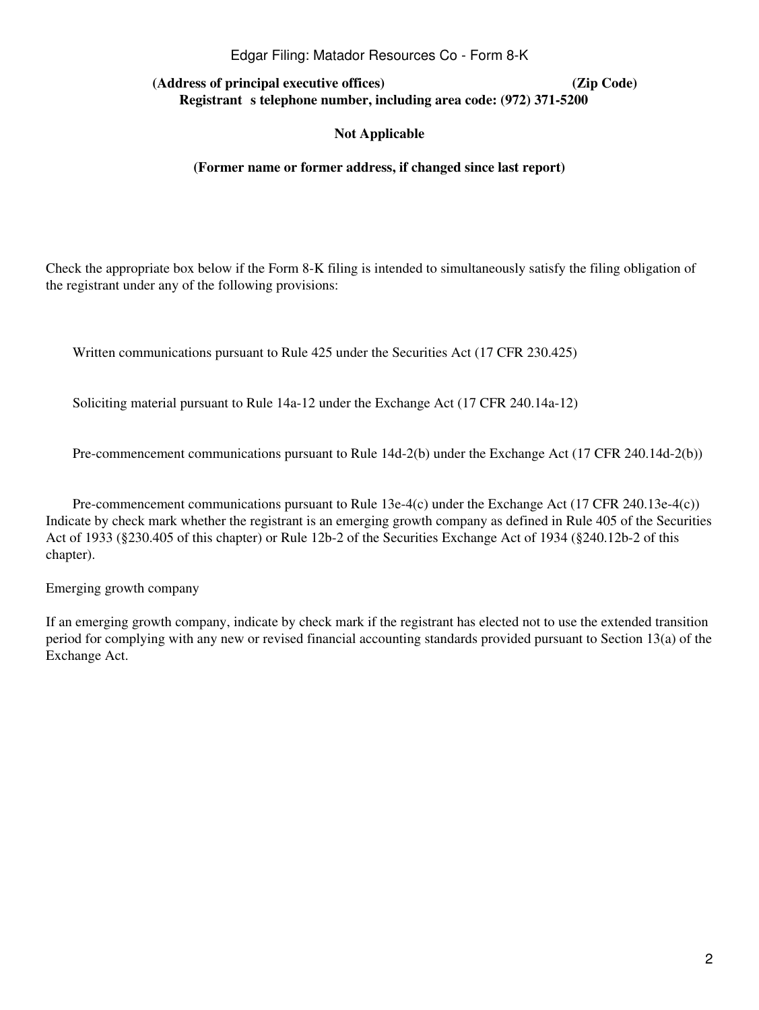#### Edgar Filing: Matador Resources Co - Form 8-K

**(Address of principal executive offices) (Zip Code) Registrant** s telephone number, including area code: (972) 371-5200

#### **Not Applicable**

#### **(Former name or former address, if changed since last report)**

Check the appropriate box below if the Form 8-K filing is intended to simultaneously satisfy the filing obligation of the registrant under any of the following provisions:

Written communications pursuant to Rule 425 under the Securities Act (17 CFR 230.425)

Soliciting material pursuant to Rule 14a-12 under the Exchange Act (17 CFR 240.14a-12)

Pre-commencement communications pursuant to Rule 14d-2(b) under the Exchange Act (17 CFR 240.14d-2(b))

Pre-commencement communications pursuant to Rule 13e-4(c) under the Exchange Act (17 CFR 240.13e-4(c)) Indicate by check mark whether the registrant is an emerging growth company as defined in Rule 405 of the Securities Act of 1933 (§230.405 of this chapter) or Rule 12b-2 of the Securities Exchange Act of 1934 (§240.12b-2 of this chapter).

Emerging growth company

If an emerging growth company, indicate by check mark if the registrant has elected not to use the extended transition period for complying with any new or revised financial accounting standards provided pursuant to Section 13(a) of the Exchange Act.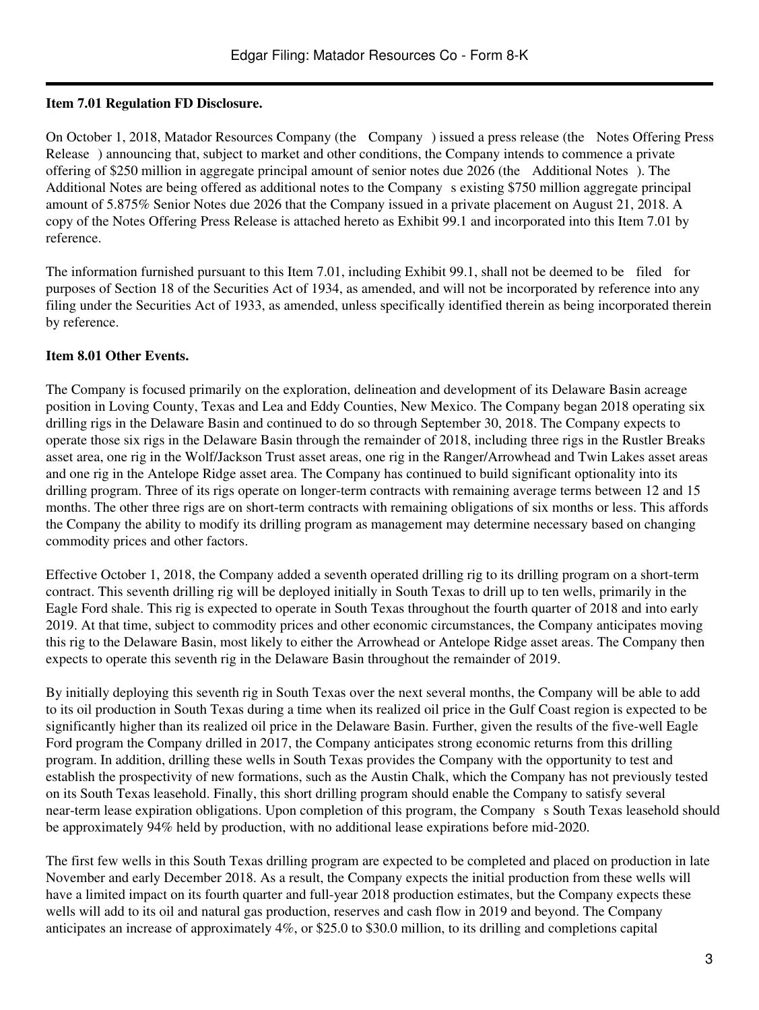## **Item 7.01 Regulation FD Disclosure.**

On October 1, 2018, Matador Resources Company (the Company) issued a press release (the Notes Offering Press Release) announcing that, subject to market and other conditions, the Company intends to commence a private offering of \$250 million in aggregate principal amount of senior notes due 2026 (the Additional Notes). The Additional Notes are being offered as additional notes to the Company s existing \$750 million aggregate principal amount of 5.875% Senior Notes due 2026 that the Company issued in a private placement on August 21, 2018. A copy of the Notes Offering Press Release is attached hereto as Exhibit 99.1 and incorporated into this Item 7.01 by reference.

The information furnished pursuant to this Item 7.01, including Exhibit 99.1, shall not be deemed to be filed for purposes of Section 18 of the Securities Act of 1934, as amended, and will not be incorporated by reference into any filing under the Securities Act of 1933, as amended, unless specifically identified therein as being incorporated therein by reference.

## **Item 8.01 Other Events.**

The Company is focused primarily on the exploration, delineation and development of its Delaware Basin acreage position in Loving County, Texas and Lea and Eddy Counties, New Mexico. The Company began 2018 operating six drilling rigs in the Delaware Basin and continued to do so through September 30, 2018. The Company expects to operate those six rigs in the Delaware Basin through the remainder of 2018, including three rigs in the Rustler Breaks asset area, one rig in the Wolf/Jackson Trust asset areas, one rig in the Ranger/Arrowhead and Twin Lakes asset areas and one rig in the Antelope Ridge asset area. The Company has continued to build significant optionality into its drilling program. Three of its rigs operate on longer-term contracts with remaining average terms between 12 and 15 months. The other three rigs are on short-term contracts with remaining obligations of six months or less. This affords the Company the ability to modify its drilling program as management may determine necessary based on changing commodity prices and other factors.

Effective October 1, 2018, the Company added a seventh operated drilling rig to its drilling program on a short-term contract. This seventh drilling rig will be deployed initially in South Texas to drill up to ten wells, primarily in the Eagle Ford shale. This rig is expected to operate in South Texas throughout the fourth quarter of 2018 and into early 2019. At that time, subject to commodity prices and other economic circumstances, the Company anticipates moving this rig to the Delaware Basin, most likely to either the Arrowhead or Antelope Ridge asset areas. The Company then expects to operate this seventh rig in the Delaware Basin throughout the remainder of 2019.

By initially deploying this seventh rig in South Texas over the next several months, the Company will be able to add to its oil production in South Texas during a time when its realized oil price in the Gulf Coast region is expected to be significantly higher than its realized oil price in the Delaware Basin. Further, given the results of the five-well Eagle Ford program the Company drilled in 2017, the Company anticipates strong economic returns from this drilling program. In addition, drilling these wells in South Texas provides the Company with the opportunity to test and establish the prospectivity of new formations, such as the Austin Chalk, which the Company has not previously tested on its South Texas leasehold. Finally, this short drilling program should enable the Company to satisfy several near-term lease expiration obligations. Upon completion of this program, the Companys South Texas leasehold should be approximately 94% held by production, with no additional lease expirations before mid-2020.

The first few wells in this South Texas drilling program are expected to be completed and placed on production in late November and early December 2018. As a result, the Company expects the initial production from these wells will have a limited impact on its fourth quarter and full-year 2018 production estimates, but the Company expects these wells will add to its oil and natural gas production, reserves and cash flow in 2019 and beyond. The Company anticipates an increase of approximately 4%, or \$25.0 to \$30.0 million, to its drilling and completions capital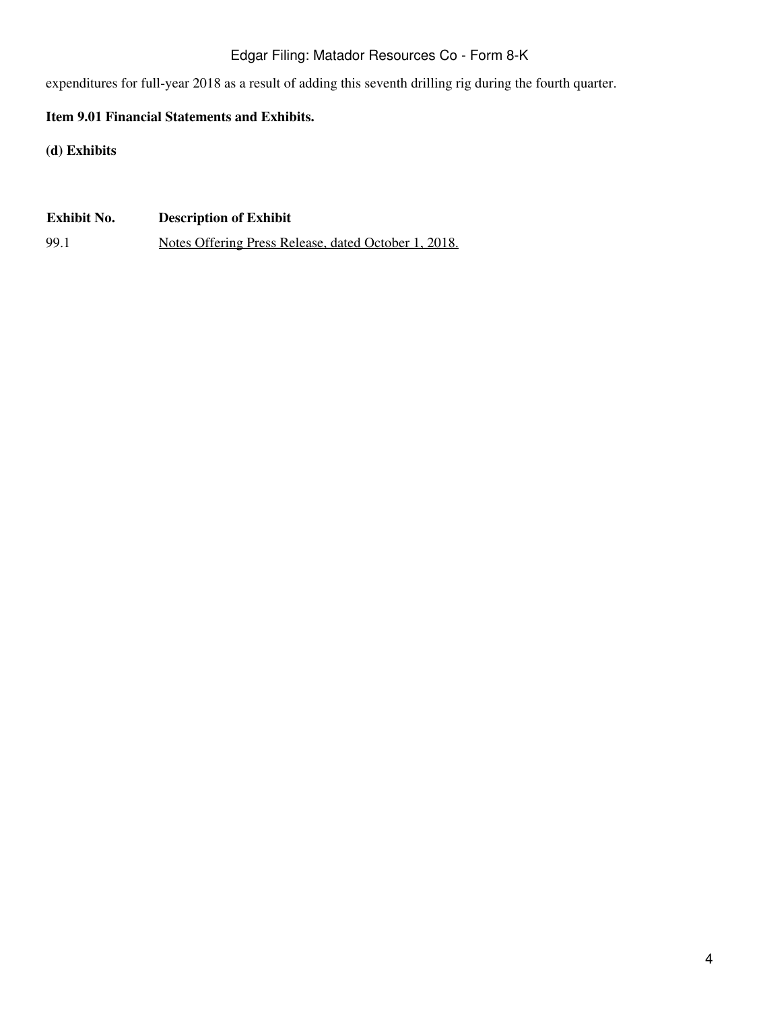# Edgar Filing: Matador Resources Co - Form 8-K

expenditures for full-year 2018 as a result of adding this seventh drilling rig during the fourth quarter.

# **Item 9.01 Financial Statements and Exhibits.**

**(d) Exhibits**

**Exhibit No. Description of Exhibit** 99.1 Notes Offering Press Release, dated October 1, 2018.